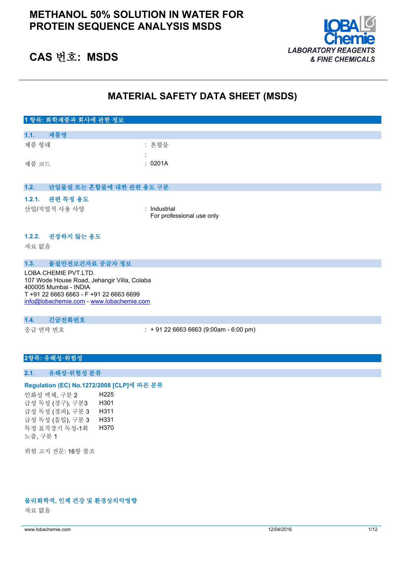## **METHANOL 50% SOLUTION IN WATER FOR PROTEIN SEQUENCE ANALYSIS MSDS**



# **CAS 번호: MSDS**

## **MATERIAL SAFETY DATA SHEET (MSDS)**

| 1 항목: 화학제품과 회사에 관한 정보            |                                           |
|----------------------------------|-------------------------------------------|
| 제품명<br>1.1.                      |                                           |
| 제품 형태                            | : 혼합물                                     |
| 제품 코드                            | $\cdot$<br>: 0201A                        |
|                                  |                                           |
| 단일물질 또는 혼합물에 대한 관련 용도 구분<br>1.2. |                                           |
| 1.2.1. 관련 특정 용도                  |                                           |
| 산업/직업적 사용 사양                     | : Industrial<br>For professional use only |
| 권장하지 않는 용도<br>1.2.2.<br>자료 없음    |                                           |

### **1.3. 물질안전보건자료 공급자 정보**

LOBA CHEMIE PVT.LTD. 107 Wode House Road, Jehangir Villa, Colaba 400005 Mumbai - INDIA T +91 22 6663 6663 - F +91 22 6663 6699 [info@lobachemie.com](mailto:info@lobachemie.com) - <www.lobachemie.com>

#### **1.4. 긴급전화번호**

응급 연락 번호 : + 91 22 6663 6663 (9:00am - 6:00 pm)

### **2항목: 유해성·위험성**

### **2.1. 유해성·위험성 분류**

#### Regulation (EC) No.1272/2008 [CLP]에 따른 분류

인화성 액체, 구분 2 H225 급성 독성 (경구), 구분3 H301 급성 독성 (경피), 구분 3 H311 급성 독성 (흡입), 구분 3 H331 특정 표적장기 독성-1회 노출, 구분 1 H370

위험 고지 전문: 16항 참조

#### **물리화학적, 인체 건강 및 환경상의악영향**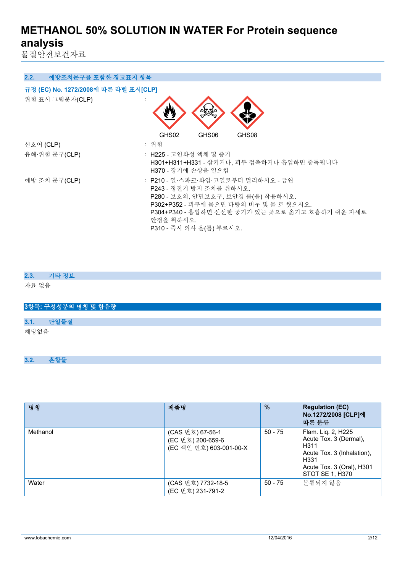물질안전보건자료

| 2.2.<br>예방조치문구를 포함한 경고표지 항목          |                                                                                                                                                                                                                                          |
|--------------------------------------|------------------------------------------------------------------------------------------------------------------------------------------------------------------------------------------------------------------------------------------|
| 규정 (EC) No. 1272/2008에 따른 라벨 표시[CLP] |                                                                                                                                                                                                                                          |
| 위험 표시 그림문자(CLP)                      |                                                                                                                                                                                                                                          |
|                                      | GHS02<br>GHS06<br>GHS08                                                                                                                                                                                                                  |
| 신호어 (CLP)                            | : 위험                                                                                                                                                                                                                                     |
| 유해·위험 문구(CLP)                        | : H225 - 고인화성 액체 및 증기<br>H301+H311+H331 - 삼키거나, 피부 접촉하거나 흡입하면 중독됩니다<br>H370 - 장기에 손상을 일으킴                                                                                                                                                |
| 예방 조치 문구(CLP)                        | : P210 - 열·스파크·화염·고열로부터 멀리하시오 - 금연<br>P243 - 정전기 방지 조치를 취하시오.<br>P280 - 보호의, 안면보호구, 보안경 를(을) 착용하시오.<br>P302+P352 - 피부에 묻으면 다량의 비누 및 물 로 씻으시오.<br>P304+P340 - 흡입하면 신선한 공기가 있는 곳으로 옮기고 호흡하기 쉬운 자세로<br>안정을 취하시오.<br>P310 - 즉시 의사 을(를) 부르시오. |

## **2.3. 기타 정보**

자료 없음

## **3항목: 구성성분의 명칭 및 함유량**

**3.1. 단일물질**

해당없음

## **3.2. 혼합물**

| 명칭       | 제품명                                                              | $\%$      | <b>Regulation (EC)</b><br>No.1272/2008 [CLP]에<br>따른 분류                                                                                     |
|----------|------------------------------------------------------------------|-----------|--------------------------------------------------------------------------------------------------------------------------------------------|
| Methanol | (CAS 번호) 67-56-1<br>(EC 번호) 200-659-6<br>(EC 색인 번호) 603-001-00-X | $50 - 75$ | Flam. Lig. 2, H225<br>Acute Tox. 3 (Dermal),<br>H311<br>Acute Tox. 3 (Inhalation).<br>H331<br>Acute Tox. 3 (Oral), H301<br>STOT SE 1, H370 |
| Water    | (CAS 번호) 7732-18-5<br>(EC 번호) 231-791-2                          | $50 - 75$ | 분류되지 않음                                                                                                                                    |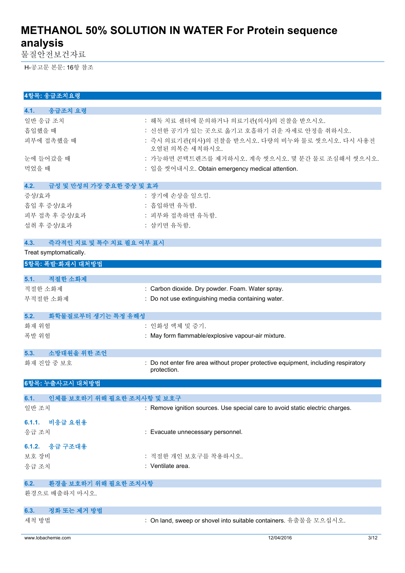물질안전보건자료

H-공고문 본문: 16항 참조

| 4항목: 응급조치요령                                                |                                                                                     |
|------------------------------------------------------------|-------------------------------------------------------------------------------------|
| 4.1.<br>응급조치 요령                                            |                                                                                     |
| 일반 응급 조치                                                   | : 해독 치료 센터에 문의하거나 의료기관(의사)의 진찰을 받으시오.                                               |
| 흡입했을 때                                                     | : 신선한 공기가 있는 곳으로 옮기고 호흡하기 쉬운 자세로 안정을 취하시오.                                          |
| 피부에 접촉했을 때                                                 | : 즉시 의료기관(의사)의 진찰을 받으시오. 다량의 비누와 물로 씻으시오. 다시 사용전                                    |
|                                                            | 오염된 의복은 세척하시오.                                                                      |
| 눈에 들어갔을 때                                                  | : 가능하면 콘택트렌즈를 제거하시오. 계속 씻으시오. 몇 분간 물로 조심해서 씻으시오.                                    |
| 먹었을 때                                                      | : 입을 씻어내시오. Obtain emergency medical attention.                                     |
| 4.2.<br>급성 및 만성의 가장 중요한 중상 및 효과                            |                                                                                     |
| 증상/효과                                                      | : 장기에 손상을 일으킴.                                                                      |
| 흡입 후 증상/효과                                                 | : 흡입하면 유독함.                                                                         |
| 피부 접촉 후 증상/효과                                              | : 피부와 접촉하면 유독함.                                                                     |
| 섭취 후 증상/효과                                                 | : 삼키면 유독함.                                                                          |
|                                                            |                                                                                     |
| 즉각적인 치료 및 특수 치료 필요 여부 표시<br>4.3.<br>Treat symptomatically. |                                                                                     |
|                                                            |                                                                                     |
| 5항목: 폭발·화재시 대처방법                                           |                                                                                     |
| 적절한 소화제<br>5.1.                                            |                                                                                     |
| 적절한 소화제                                                    | : Carbon dioxide. Dry powder. Foam. Water spray.                                    |
| 부적절한 소화제                                                   | : Do not use extinguishing media containing water.                                  |
|                                                            |                                                                                     |
| 화학물질로부터 생기는 특정 유해성<br>5.2.                                 |                                                                                     |
| 화재 위험<br>폭발 위험                                             | : 인화성 액체 및 증기.<br>: May form flammable/explosive vapour-air mixture.                |
|                                                            |                                                                                     |
| 소방대원을 위한 조언<br>5.3.                                        |                                                                                     |
| 화재 진압 중 보호                                                 | : Do not enter fire area without proper protective equipment, including respiratory |
|                                                            | protection.                                                                         |
| 6항목: 누출사고시 대처방법                                            |                                                                                     |
| 인체를 보호하기 위해 필요한 조치사항 및 보호구<br>6.1.                         |                                                                                     |
| 일반 조치                                                      | : Remove ignition sources. Use special care to avoid static electric charges.       |
|                                                            |                                                                                     |
| 비응급 요원용<br>6.1.1.<br>응급 조치                                 | : Evacuate unnecessary personnel.                                                   |
|                                                            |                                                                                     |
| 6.1.2. 응급 구조대용                                             |                                                                                     |
| 보호 장비                                                      | : 적절한 개인 보호구를 착용하시오.                                                                |
| 응급 조치                                                      | : Ventilate area.                                                                   |
| 환경을 보호하기 위해 필요한 조치사항<br>6.2.                               |                                                                                     |
| 환경으로 배출하지 마시오.                                             |                                                                                     |
|                                                            |                                                                                     |
| 정화 또는 제거 방법<br>6.3.                                        |                                                                                     |
| 세척 방법                                                      | : On land, sweep or shovel into suitable containers. 유출물을 모으십시오.                    |
| www.lobachemie.com                                         | 12/04/2016<br>3/12                                                                  |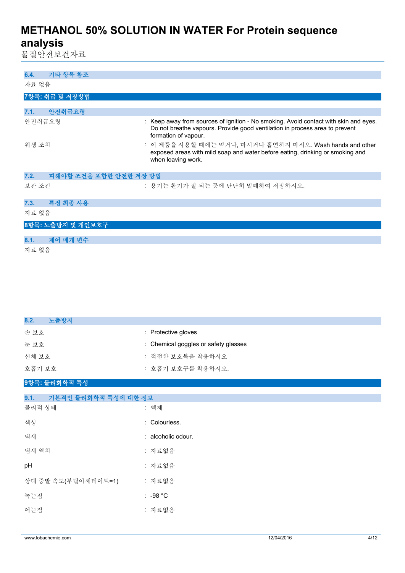물질안전보건자료

| 기타 항목 참조<br>6.4.               |                                                                                                                                                                                             |
|--------------------------------|---------------------------------------------------------------------------------------------------------------------------------------------------------------------------------------------|
| 자료 없음                          |                                                                                                                                                                                             |
| 7항목: 취급 및 저장방법                 |                                                                                                                                                                                             |
| 안전취급요령<br>7.1.                 |                                                                                                                                                                                             |
| 안전취급요령                         | : Keep away from sources of ignition - No smoking. Avoid contact with skin and eyes.<br>Do not breathe vapours. Provide good ventilation in process area to prevent<br>formation of vapour. |
| 위생 조치                          | : 이 제품을 사용할 때에는 먹거나, 마시거나 흡연하지 마시오. Wash hands and other<br>exposed areas with mild soap and water before eating, drinking or smoking and<br>when leaving work.                             |
| 피해야할 조건을 포함한 안전한 저장 방법<br>7.2. |                                                                                                                                                                                             |
| 보관 조건                          | : 용기는 환기가 잘 되는 곳에 단단히 밀폐하여 저장하시오.                                                                                                                                                           |
| 특정 최종 사용<br>7.3.               |                                                                                                                                                                                             |
| 자료 없음                          |                                                                                                                                                                                             |
| 8항목: 노출방지 및 개인보호구              |                                                                                                                                                                                             |
| 제어 매개 변수<br>8.1.               |                                                                                                                                                                                             |
| 자료 없음                          |                                                                                                                                                                                             |

| 8.2.<br>노출방지                 |                                      |
|------------------------------|--------------------------------------|
| 손보호                          | : Protective gloves                  |
| 눈보호                          | : Chemical goggles or safety glasses |
| 신체 보호                        | : 적절한 보호복을 착용하시오                     |
| 호흡기 보호                       | : 호흡기 보호구를 착용하시오.                    |
| 9항목: 물리화학적 특성                |                                      |
| 기본적인 물리화학적 특성에 대한 정보<br>9.1. |                                      |
| 물리적 상태                       | : 액체                                 |
| 색상                           | : Colourless.                        |
| 냄새                           | : alcoholic odour.                   |
| 냄새 역치                        | : 자료없음                               |
| pH                           | : 자료없음                               |
| 상대 증발 속도(부틸아세테이트=1)          | : 자료없음                               |
| 녹는점                          | $: -98 °C$                           |
| 어는점                          | : 자료없음                               |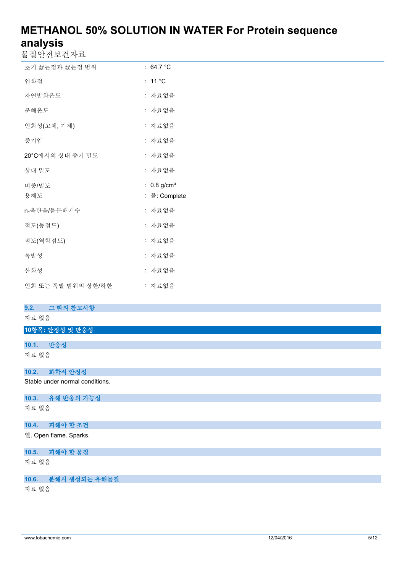물질안전보건자료

| 초기 끓는점과 끓는점 범위   | : $64.7^{\circ}$ C                         |
|------------------|--------------------------------------------|
| 인화점              | : 11 $^{\circ}$ C                          |
| 자연발화온도           | : 자료없음                                     |
| 분해온도             | : 자료없음                                     |
| 인화성(고체, 기체)      | : 자료없음                                     |
| 증기압              | : 자료없음                                     |
| 20°C에서의 상대 증기 밀도 | : 자료없음                                     |
| 상대 밀도            | : 자료없음                                     |
|                  |                                            |
| 비중/밀도<br>용해도     | : $0.8$ g/cm <sup>3</sup><br>∶ 물: Complete |
| n-옥탄올/물분배계수      | : 자료없음                                     |
| 점도(동점도)          | : 자료없음                                     |
| 점도(역학점도)         | : 자료없음                                     |
| 폭발성              | : 자료없음                                     |
| 산화성              | : 자료없음                                     |

### **9.2. 그 밖의 참고사항**

## 자료 없음

### **10항목: 안정성 및 반응성**

**10.1. 반응성** 자료 없음

### **10.2. 화학적 안정성**

Stable under normal conditions.

## **10.3. 유해 반응의 가능성**

자료 없음

## **10.4. 피해야 할 조건**

열. Open flame. Sparks.

## **10.5. 피해야 할 물질**

자료 없음

## **10.6. 분해시 생성되는 유해물질**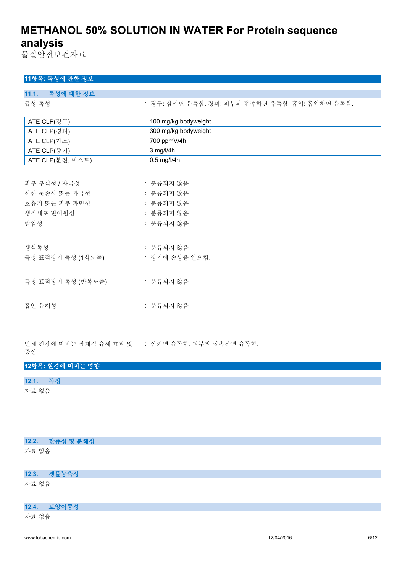물질안전보건자료

## **11항목: 독성에 관한 정보**

| 11.1. 독성에 대한 정보   |                                                |
|-------------------|------------------------------------------------|
| 급성 독성             | : 경구: 삼키면 유독함. 경피: 피부와 접촉하면 유독함. 흡입: 흡입하면 유독함. |
| ATE CLP(경구)       | 100 mg/kg bodyweight                           |
|                   |                                                |
| ATE CLP(경피)       | 300 mg/kg bodyweight                           |
| ATE CLP(가스)       | 700 ppmV/4h                                    |
| ATE CLP(증기)       | 3 mg/l/4h                                      |
| ATE CLP(분진, 미스트)  | 0.5 mg/l/4h                                    |
|                   |                                                |
| 피부 부식성 / 자극성      | : 분류되지 않음                                      |
| 심한 눈손상 또는 자극성     | : 분류되지 않음                                      |
| 호흡기 또는 피부 과민성     | : 분류되지 않음                                      |
| 생식세포 변이원성         | : 분류되지 않음                                      |
| 발암성               | : 분류되지 않음                                      |
|                   |                                                |
| 생식독성              | : 분류되지 않음                                      |
| 특정 표적장기 독성 (1회노출) | : 장기에 손상을 일으킴.                                 |
|                   |                                                |
| 흡인 유해성            | : 분류되지 않음                                      |

인체 건강에 미치는 잠재적 유해 효과 및 : 삼키면 유독함. 피부와 접촉하면 유독함.

증상

|       | 12항목: 환경에 미치는 영향 |
|-------|------------------|
| 12.1. | 독서               |
|       |                  |

|       | 12.2. 잔류성 및 분해성 |
|-------|-----------------|
| 자료 없음 |                 |
|       | 12.3. 생물농축성     |
| 자료 없음 |                 |
|       | 12.4. 토양이동성     |
| 자료 없음 |                 |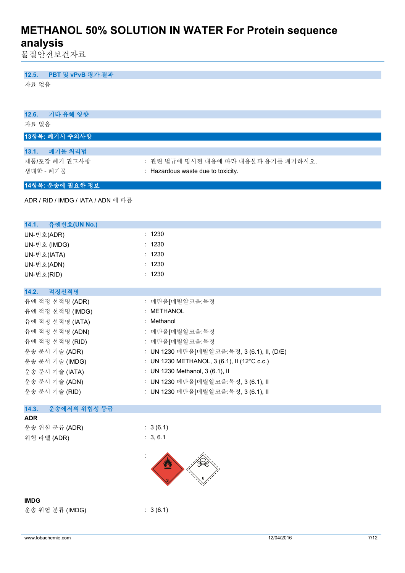물질안전보건자료

## **12.5. PBT 및 vPvB 평가 결과**

| 기타 유해 영향<br>12.6.                  |                                             |
|------------------------------------|---------------------------------------------|
| 자료 없음                              |                                             |
| 13항목: 폐기시 주의사항                     |                                             |
| 폐기물 처리법<br>13.1.                   |                                             |
| 제품/포장 폐기 권고사항                      | : 관련 법규에 명시된 내용에 따라 내용물과 용기를 폐기하시오.         |
| 생태학 - 폐기물                          | : Hazardous waste due to toxicity.          |
| 14항목: 운송에 필요한 정보                   |                                             |
| ADR / RID / IMDG / IATA / ADN 에 따름 |                                             |
|                                    |                                             |
| 14.1. 유엔번호(UN No.)                 |                                             |
| UN-번호(ADR)                         | : 1230                                      |
| UN-번호 (IMDG)                       | : 1230                                      |
| UN-번호(IATA)                        | : 1230                                      |
| UN-번호(ADN)                         | : 1230                                      |
| UN-번호(RID)                         | : 1230                                      |
| 적정선적명<br>14.2.                     |                                             |
| 유엔 적정 선적명 (ADR)                    | : 메탄올[메틸알코올:목정                              |
| 유엔 적정 선적명 (IMDG)                   | : METHANOL                                  |
| 유엔 적정 선적명 (IATA)                   | : Methanol                                  |
| 유엔 적정 선적명 (ADN)                    | : 메탄올[메틸알코올:목정                              |
| 유엔 적정 선적명 (RID)                    | : 메탄올[메틸알코올:목정                              |
| 운송 문서 기술 (ADR)                     | : UN 1230 메탄올[메틸알코올:목정, 3 (6.1), II, (D/E)  |
| 운송 문서 기술 (IMDG)                    | : UN 1230 METHANOL, 3 (6.1), II (12°C c.c.) |
| 운송 문서 기술 (IATA)                    | : UN 1230 Methanol, 3 (6.1), II             |
| 운송 문서 기술 (ADN)                     | : UN 1230 메탄올[메틸알코올:목정, 3 (6.1), II         |
| 운송 문서 기술 (RID)                     | : UN 1230 메탄올[메틸알코올:목정, 3 (6.1), II         |
| 운송에서의 위험성 등급<br>14.3.              |                                             |
| <b>ADR</b>                         |                                             |
| 운송 위험 분류 (ADR)                     | : 3(6.1)                                    |
| 위험 라벨 (ADR)                        | : 3, 6.1                                    |
|                                    |                                             |
|                                    |                                             |
| <b>IMDG</b>                        |                                             |
| 운송 위험 분류 (IMDG)                    | : 3(6.1)                                    |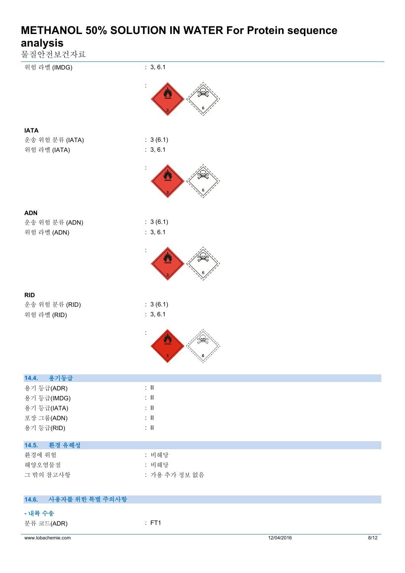| 물질안전보건자료<br>위험 라벨 (IMDG)   | : 3, 6.1                                             |            |      |
|----------------------------|------------------------------------------------------|------------|------|
|                            |                                                      |            |      |
|                            | $\bullet$                                            |            |      |
|                            |                                                      |            |      |
| <b>IATA</b>                |                                                      |            |      |
| 운송 위험 분류 (IATA)            | : 3(6.1)                                             |            |      |
| 위험 라벨 (IATA)               | : 3, 6.1                                             |            |      |
|                            | $\bullet$                                            |            |      |
|                            |                                                      |            |      |
| <b>ADN</b>                 |                                                      |            |      |
| 운송 위험 분류 (ADN)             | : 3(6.1)                                             |            |      |
| 위험 라벨 (ADN)                | : 3, 6.1                                             |            |      |
|                            |                                                      |            |      |
|                            | $\overline{\mathbf{a}}$                              |            |      |
|                            |                                                      |            |      |
| <b>RID</b>                 |                                                      |            |      |
| 운송 위험 분류 (RID)             | : 3(6.1)                                             |            |      |
| 위험 라벨 (RID)                | : 3, 6.1                                             |            |      |
|                            | 舂                                                    |            |      |
|                            |                                                      |            |      |
|                            | $\mathbb{Z}$                                         |            |      |
| 용기등급<br>14.4.              |                                                      |            |      |
| 용기 등급(ADR)                 | $\colon \, \mathrm{II}$<br>$\colon \, \mathrm{I\!I}$ |            |      |
| 용기 등급(IMDG)<br>용기 등급(IATA) | $\colon \, \mathrm{I\!I}$                            |            |      |
| 포장 그룹(ADN)                 | $\colon \, \mathrm{II}$                              |            |      |
| 용기 등급(RID)                 | $\colon \, \mathrm{I\!I}$                            |            |      |
| 14.5.<br>환경 유해성            |                                                      |            |      |
| 환경에 위험                     | : 비해당                                                |            |      |
| 해양오염물질                     | : 비해당                                                |            |      |
| 그 밖의 참고사항                  | : 가용 추가 정보 없음                                        |            |      |
| 14.6.<br>사용자를 위한 특별 주의사항   |                                                      |            |      |
| - 내륙 수송                    |                                                      |            |      |
| 분류 코드(ADR)                 | : FT1                                                |            |      |
| www.lobachemie.com         |                                                      | 12/04/2016 | 8/12 |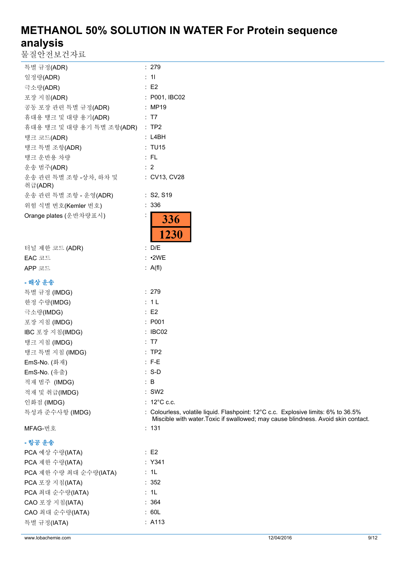물질안전보건자료

| 특별 규정(ADR)                       | : 279                                                                                                                                                                   |
|----------------------------------|-------------------------------------------------------------------------------------------------------------------------------------------------------------------------|
| 일정량(ADR)                         | : 11                                                                                                                                                                    |
| 극소량(ADR)                         | $\therefore$ E2                                                                                                                                                         |
| 포장 지침(ADR)                       | : P001, IBC02                                                                                                                                                           |
| 공동 포장 관련 특별 규정(ADR)              | : MP19                                                                                                                                                                  |
| 휴대용 탱크 및 대량 용기(ADR)              | : T7                                                                                                                                                                    |
| 휴대용 탱크 및 대량 용기 특별 조항(ADR)        | $:$ TP2                                                                                                                                                                 |
| 탱크 코드(ADR)                       | : L4BH                                                                                                                                                                  |
| 탱크 특별 조항(ADR)                    | : TU15                                                                                                                                                                  |
| 탱크 운반용 차량                        | : FL                                                                                                                                                                    |
| 운송 범주(ADR)                       | $\therefore$ 2                                                                                                                                                          |
| 운송 관련 특별 조항 -상차, 하차 및<br>취급(ADR) | : CV13, CV28                                                                                                                                                            |
| 운송 관련 특별 조항 - 운영(ADR)            | : S2, S19                                                                                                                                                               |
| 위험 식별 번호(Kemler 번호)              | : 336                                                                                                                                                                   |
| Orange plates (운반차량표시)           | 336<br>1230                                                                                                                                                             |
| 터널 제한 코드 (ADR)                   | : D/E                                                                                                                                                                   |
| EAC 코드                           | : 2WE                                                                                                                                                                   |
| APP 코드                           | : A(f)                                                                                                                                                                  |
| - 해상 운송                          |                                                                                                                                                                         |
| 특별 규정 (IMDG)                     | : 279                                                                                                                                                                   |
| 한정 수량(IMDG)                      | : 1L                                                                                                                                                                    |
| 극소량(IMDG)                        | $\therefore$ E2                                                                                                                                                         |
| 포장 지침 (IMDG)                     | : P001                                                                                                                                                                  |
| IBC 포장 지침(IMDG)                  | : IBCO2                                                                                                                                                                 |
| 탱크 지침 (IMDG)                     | : T7                                                                                                                                                                    |
| 탱크 특별 지침 (IMDG)                  | :TP2                                                                                                                                                                    |
| EmS-No. (화재)                     | $: F-E$                                                                                                                                                                 |
| EmS-No. (유출)                     | $: S-D$                                                                                                                                                                 |
| 적재 범주 (IMDG)                     | : B                                                                                                                                                                     |
| 적재 및 취급(IMDG)                    | $:$ SW2                                                                                                                                                                 |
| 인화점 (IMDG)                       | : $12^{\circ}$ C c.c.                                                                                                                                                   |
| 특성과 준수사항 (IMDG)                  | : Colourless, volatile liquid. Flashpoint: 12°C c.c. Explosive limits: 6% to 36.5%<br>Miscible with water. Toxic if swallowed; may cause blindness. Avoid skin contact. |
| MFAG-번호                          | : 131                                                                                                                                                                   |
| - 항공 운송                          |                                                                                                                                                                         |
| PCA 예상 수량(IATA)                  | $\therefore$ E2                                                                                                                                                         |
| PCA 제한 수량(IATA)                  | : Y341                                                                                                                                                                  |
| PCA 제한 수량 최대 순수량(IATA)           | : 1L                                                                                                                                                                    |
| PCA 포장 지침(IATA)                  | : 352                                                                                                                                                                   |
| PCA 최대 순수량(IATA)                 | : 1L                                                                                                                                                                    |
| CAO 포장 지침(IATA)                  | : 364                                                                                                                                                                   |
| CAO 최대 순수량(IATA)                 | : 60L                                                                                                                                                                   |
| 특별 규정(IATA)                      | : A113                                                                                                                                                                  |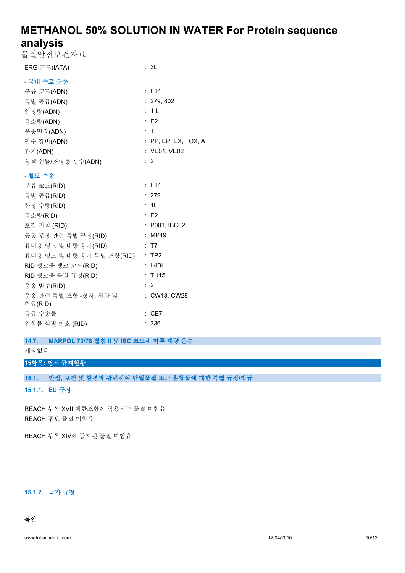물질안전보건자료

| ㄹ ㄹ ㄴ ㄴㅗ ㄴ′ ㄱㅛ                                         |                                 |
|--------------------------------------------------------|---------------------------------|
| ERG 코드(IATA)                                           | : 3L                            |
| - 국내 수로 운송                                             |                                 |
| 분류 코드(ADN)                                             | $:$ FT1                         |
| 특별 공급(ADN)                                             | : 279, 802                      |
| 일정량(ADN)                                               | : 1L                            |
| 극소량(ADN)                                               | $\therefore$ E2                 |
| 운송면장(ADN)                                              | : T                             |
| 필수 장비(ADN)                                             | $\therefore$ PP, EP, EX, TOX, A |
| 환기(ADN)                                                | : VE01, VE02                    |
| 청색 원뿔/조명등 갯수(ADN)                                      | $\therefore$ 2                  |
| - 철도 수송                                                |                                 |
| 분류 코드(RID)                                             | : FT1                           |
| 특별 공급(RID)                                             | : 279                           |
| 한정 수량(RID)                                             | : 1L                            |
| 극소량(RID)                                               | $\therefore$ E2                 |
| 포장 지침 (RID)                                            | : P001, IBC02                   |
| 공동 포장 관련 특별 규정(RID) : MP19                             |                                 |
| 휴대용 탱크 및 대량 용기(RID)<br>$\overline{17}$ $\overline{17}$ |                                 |
| 휴대용 탱크 및 대량 용기 특별 조항(RID) : TP2                        |                                 |
| RID 탱크용 탱크 코드(RID)                                     | : L4BH                          |
| RID 탱크용 특별 규정(RID)                                     | : TU15                          |
| 운송 범주(RID)                                             | $\therefore$ 2                  |
| 운송 관련 특별 조항 -상차, 하차 및 : CW13, CW28<br>취급(RID)          |                                 |
| 특급 수송물                                                 | : CE7                           |
| 위험물 식별 번호 (RID)                                        | : 336                           |
| MARPOL 73/78 별첨 II 및 IBC 코드에 따른 대량 운송<br>14.7.         |                                 |

해당없음

### **15항목: 법적 규제현황**

**15.1. 안전, 보건 및 환경과 관련하여 단일물질 또는 혼합물에 대한 특별 규정/법규**

**15.1.1. EU 규정**

REACH 부록 XVII 제한조항이 적용되는 물질 미함유 REACH 후보 물질 미함유

REACH 부록 XIV에 등재된 물질 미함유

### **15.1.2. 국가 규정**

## **독일**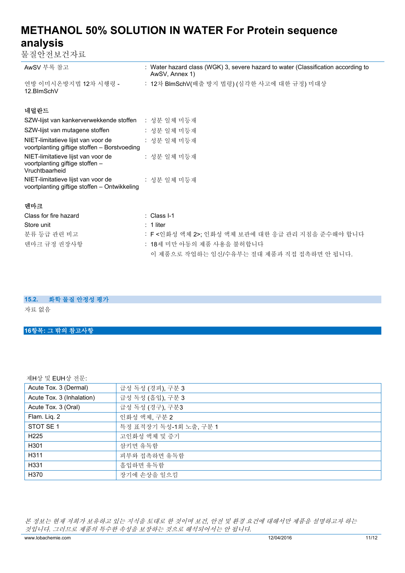물질안전보건자료

| AwSV 부록 참고                         | : Water hazard class (WGK) 3, severe hazard to water (Classification according to<br>AwSV, Annex 1) |
|------------------------------------|-----------------------------------------------------------------------------------------------------|
| 연방 이미시온방지법 12차 시행령 -<br>12.BlmSchV | : 12차 BlmSchV(배출 방지 법령) (심각한 사고에 대한 규정) 미대상                                                         |

## **네덜란드**

| SZW-lijst van kankerverwekkende stoffen                                                 | : 성분 일체 미등재 |
|-----------------------------------------------------------------------------------------|-------------|
| SZW-lijst van mutagene stoffen                                                          | : 성분 일체 미등재 |
| NIET-limitatieve lijst van voor de<br>voortplanting giftige stoffen - Borstvoeding      | : 성분 일체 미등재 |
| NIET-limitatieve lijst van voor de<br>voortplanting giftige stoffen -<br>Vruchtbaarheid | : 성분 일체 미등재 |
| NIET-limitatieve lijst van voor de<br>voortplanting giftige stoffen - Ontwikkeling      | : 성분 일체 미등재 |

### **덴마크**

| Class for fire hazard | ∴ Class I-1                                      |
|-----------------------|--------------------------------------------------|
| Store unit            | : 1 liter                                        |
| 분류 등급 관련 비고           | : F <인화성 액체 2>: 인화성 액체 보관에 대한 응급 관리 지침을 준수해야 합니다 |
| 덴마크 규정 권장사항           | : 18세 미만 아동의 제품 사용을 불허합니다                        |
|                       | 이 제품으로 작업하는 임신/수유부는 절대 제품과 직접 접촉하면 안 됩니다.        |

### **15.2. 화학 물질 안정성 평가**

자료 없음

## **16항목: 그 밖의 참고사항**

## 제H상 및 EUH상 전문:

| Acute Tox. 3 (Dermal)     | 급성 독성 (경피), 구분 3       |
|---------------------------|------------------------|
| Acute Tox. 3 (Inhalation) | 급성 독성 (흡입), 구분 3       |
| Acute Tox. 3 (Oral)       | 급성 독성 (경구), 구분3        |
| Flam. Liq. 2              | 인화성 액체, 구분 2           |
| STOT SE 1                 | 특정 표적장기 독성-1회 노출, 구분 1 |
| H <sub>225</sub>          | 고인화성 액체 및 증기           |
| H301                      | 삼키면 유독함                |
| H311                      | 피부와 접촉하면 유독함           |
| H331                      | 흡입하면 유독함               |
| H370                      | 장기에 손상을 일으킴            |

*본 정보는 현재 저희가 보유하고 있는 지식을 토대로 한 것이며 보건, 안전 및 환경 요건에 대해서만 제품을 설명하고자 하는 것입니다. 그러므로 제품의 특수한 속성을 보장하는 것으로 해석되어서는 안 됩니다.*